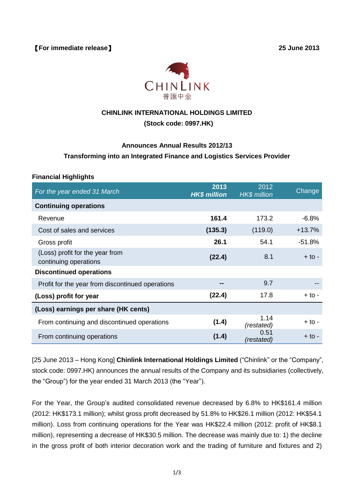

# **CHINLINK INTERNATIONAL HOLDINGS LIMITED**

# **(Stock code: 0997.HK)**

#### **Announces Annual Results 2012/13**

## **Transforming into an Integrated Finance and Logistics Services Provider**

#### **Financial Highlights**

| For the year ended 31 March                              | 2013<br><b>HK\$ million</b> | 2012<br><b>HK\$</b> million | Change   |
|----------------------------------------------------------|-----------------------------|-----------------------------|----------|
| <b>Continuing operations</b>                             |                             |                             |          |
| Revenue                                                  | 161.4                       | 173.2                       | $-6.8%$  |
| Cost of sales and services                               | (135.3)                     | (119.0)                     | $+13.7%$ |
| Gross profit                                             | 26.1                        | 54.1                        | $-51.8%$ |
| (Loss) profit for the year from<br>continuing operations | (22.4)                      | 8.1                         | $+$ to - |
| <b>Discontinued operations</b>                           |                             |                             |          |
| Profit for the year from discontinued operations         |                             | 9.7                         |          |
| (Loss) profit for year                                   | (22.4)                      | 17.8                        | + to -   |
| (Loss) earnings per share (HK cents)                     |                             |                             |          |
| From continuing and discontinued operations              | (1.4)                       | 1.14<br>(restated)          | $+$ to - |
| From continuing operations                               | (1.4)                       | 0.51<br>(restated)          | $+$ to - |

[25 June 2013 – Hong Kong] **Chinlink International Holdings Limited** ("Chinlink" or the "Company", stock code: 0997.HK) announces the annual results of the Company and its subsidiaries (collectively, the "Group") for the year ended 31 March 2013 (the "Year").

For the Year, the Group's audited consolidated revenue decreased by 6.8% to HK\$161.4 million (2012: HK\$173.1 million); whilst gross profit decreased by 51.8% to HK\$26.1 million (2012: HK\$54.1 million). Loss from continuing operations for the Year was HK\$22.4 million (2012: profit of HK\$8.1 million), representing a decrease of HK\$30.5 million. The decrease was mainly due to: 1) the decline in the gross profit of both interior decoration work and the trading of furniture and fixtures and 2)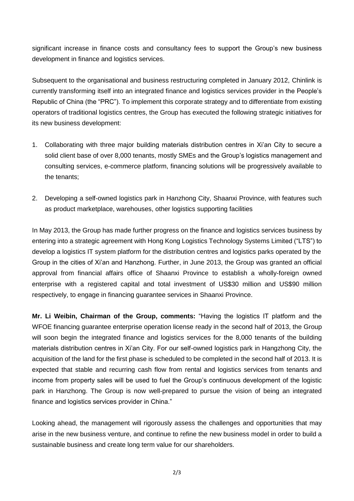significant increase in finance costs and consultancy fees to support the Group's new business development in finance and logistics services.

Subsequent to the organisational and business restructuring completed in January 2012, Chinlink is currently transforming itself into an integrated finance and logistics services provider in the People's Republic of China (the "PRC"). To implement this corporate strategy and to differentiate from existing operators of traditional logistics centres, the Group has executed the following strategic initiatives for its new business development:

- 1. Collaborating with three major building materials distribution centres in Xi'an City to secure a solid client base of over 8,000 tenants, mostly SMEs and the Group's logistics management and consulting services, e-commerce platform, financing solutions will be progressively available to the tenants;
- 2. Developing a self-owned logistics park in Hanzhong City, Shaanxi Province, with features such as product marketplace, warehouses, other logistics supporting facilities

In May 2013, the Group has made further progress on the finance and logistics services business by entering into a strategic agreement with Hong Kong Logistics Technology Systems Limited ("LTS") to develop a logistics IT system platform for the distribution centres and logistics parks operated by the Group in the cities of Xi'an and Hanzhong. Further, in June 2013, the Group was granted an official approval from financial affairs office of Shaanxi Province to establish a wholly-foreign owned enterprise with a registered capital and total investment of US\$30 million and US\$90 million respectively, to engage in financing guarantee services in Shaanxi Province.

**Mr. Li Weibin, Chairman of the Group, comments:** "Having the logistics IT platform and the WFOE financing guarantee enterprise operation license ready in the second half of 2013, the Group will soon begin the integrated finance and logistics services for the 8,000 tenants of the building materials distribution centres in Xi'an City. For our self-owned logistics park in Hangzhong City, the acquisition of the land for the first phase is scheduled to be completed in the second half of 2013. It is expected that stable and recurring cash flow from rental and logistics services from tenants and income from property sales will be used to fuel the Group's continuous development of the logistic park in Hanzhong. The Group is now well-prepared to pursue the vision of being an integrated finance and logistics services provider in China."

Looking ahead, the management will rigorously assess the challenges and opportunities that may arise in the new business venture, and continue to refine the new business model in order to build a sustainable business and create long term value for our shareholders.